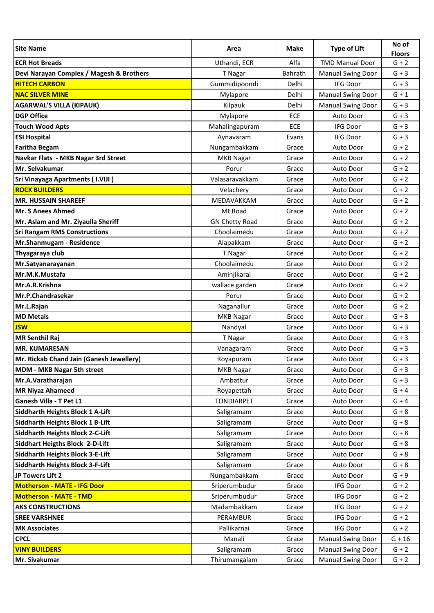| <b>Site Name</b>                         | Area                  | Make       | <b>Type of Lift</b>      | No of<br><b>Floors</b> |
|------------------------------------------|-----------------------|------------|--------------------------|------------------------|
| <b>ECR Hot Breads</b>                    | Uthandi, ECR          | Alfa       | <b>TMD Manual Door</b>   | $G + 2$                |
| Devi Narayan Complex / Magesh & Brothers | T Nagar               | Bahrath    | <b>Manual Swing Door</b> | $G + 3$                |
| <b>HITECH CARBON</b>                     | Gummidipoondi         | Delhi      | <b>IFG Door</b>          | $G + 3$                |
| <b>NAC SILVER MINE</b>                   | Mylapore              | Delhi      | <b>Manual Swing Door</b> | $G + 1$                |
| <b>AGARWAL'S VILLA (KIPAUK)</b>          | Kilpauk               | Delhi      | <b>Manual Swing Door</b> | $G + 3$                |
| <b>DGP Office</b>                        | Mylapore              | <b>ECE</b> | <b>Auto Door</b>         | $G + 3$                |
| <b>Touch Wood Apts</b>                   | Mahalingapuram        | ECE        | <b>IFG Door</b>          | $G + 3$                |
| <b>ESI Hospital</b>                      | Aynavaram             | Evans      | <b>IFG Door</b>          | $G + 3$                |
| <b>Faritha Begam</b>                     | Nungambakkam          | Grace      | Auto Door                | $G + 2$                |
| Navkar Flats - MKB Nagar 3rd Street      | <b>MKB Nagar</b>      | Grace      | Auto Door                | $G + 2$                |
| Mr. Selvakumar                           | Porur                 | Grace      | Auto Door                | $G + 2$                |
| <b>Sri Vinayaga Apartments (I.VIJI)</b>  | Valasaravakkam        | Grace      | Auto Door                | $G + 2$                |
| <b>ROCK BUILDERS</b>                     | Velachery             | Grace      | Auto Door                | $G + 2$                |
| <b>MR. HUSSAIN SHAREEF</b>               | MEDAVAKKAM            | Grace      | Auto Door                | $G + 2$                |
| Mr. S Anees Ahmed                        | Mt Road               | Grace      | Auto Door                | $G + 2$                |
| Mr. Aslam and Mr. Ziyaulla Sheriff       | <b>GN Chetty Road</b> | Grace      | Auto Door                | $G + 2$                |
| <b>Sri Rangam RMS Constructions</b>      | Choolaimedu           | Grace      | Auto Door                | $G + 2$                |
| Mr.Shanmugam - Residence                 | Alapakkam             | Grace      | Auto Door                | $G + 2$                |
| Thyagaraya club                          | T.Nagar               | Grace      | Auto Door                | $G + 2$                |
| Mr.Satyanarayanan                        | Choolaimedu           | Grace      | Auto Door                | $G + 2$                |
| Mr.M.K.Mustafa                           | Aminjikarai           | Grace      | Auto Door                | $G + 2$                |
| Mr.A.R.Krishna                           | wallace garden        | Grace      | Auto Door                | $G + 2$                |
| Mr.P.Chandrasekar                        | Porur                 | Grace      | Auto Door                | $G + 2$                |
| Mr.L.Rajan                               | Naganallur            | Grace      | Auto Door                | $G + 2$                |
| <b>MD Metals</b>                         | <b>MKB Nagar</b>      | Grace      | Auto Door                | $G + 3$                |
| <b>JSW</b>                               | Nandyal               | Grace      | Auto Door                | $G + 3$                |
| <b>MR Senthil Raj</b>                    | T Nagar               | Grace      | Auto Door                | $G + 3$                |
| <b>IMR. KUMARESAN</b>                    | Vanagaram             | Grace      | Auto Door                | $G + 3$                |
| Mr. Rickab Chand Jain (Ganesh Jewellery) | Royapuram             | Grace      | Auto Door                | $G + 3$                |
| <b>MDM - MKB Nagar 5th street</b>        | <b>MKB Nagar</b>      | Grace      | Auto Door                | $G + 3$                |
| Mr.A.Varatharajan                        | Ambattur              | Grace      | Auto Door                | $G + 3$                |
| <b>MR Niyaz Ahameed</b>                  | Royapettah            | Grace      | Auto Door                | $G + 4$                |
| Ganesh Villa - T Pet L1                  | <b>TONDIARPET</b>     | Grace      | Auto Door                | $G + 4$                |
| <b>Siddharth Heights Block 1 A-Lift</b>  | Saligramam            | Grace      | Auto Door                | $G + 8$                |
| <b>Siddharth Heights Block 1 B-Lift</b>  | Saligramam            | Grace      | Auto Door                | $G + 8$                |
| <b>Siddharth Heights Block 2-C-Lift</b>  | Saligramam            | Grace      | Auto Door                | $G + 8$                |
| Siddhart Heigths Block 2-D-Lift          | Saligramam            | Grace      | Auto Door                | $G + 8$                |
| <b>Siddharth Heights Block 3-E-Lift</b>  | Saligramam            | Grace      | Auto Door                | $G + 8$                |
| <b>Siddharth Heights Block 3-F-Lift</b>  | Saligramam            | Grace      | Auto Door                | $G + 8$                |
| JP Towers Lift 2                         | Nungambakkam          | Grace      | Auto Door                | $G + 9$                |
| <b>Motherson - MATE - IFG Door</b>       | Sriperumbudur         | Grace      | IFG Door                 | $G + 2$                |
| Motherson - MATE - TMD                   | Sriperumbudur         | Grace      | IFG Door                 | $G + 2$                |
| <b>AKS CONSTRUCTIONS</b>                 | Madambakkam           | Grace      | IFG Door                 | $G + 2$                |
| <b>SREE VARSHNEE</b>                     | PERAMBUR              | Grace      | IFG Door                 | $G + 2$                |
| <b>MK Associates</b>                     | Pallikarnai           | Grace      | IFG Door                 | $G + 2$                |
| <b>CPCL</b>                              | Manali                | Grace      | <b>Manual Swing Door</b> | $G + 16$               |
| <b>VINY BUILDERS</b>                     | Saligramam            | Grace      | <b>Manual Swing Door</b> | $G + 2$                |
| Mr. Sivakumar                            | Thirumangalam         | Grace      | <b>Manual Swing Door</b> | $G + 2$                |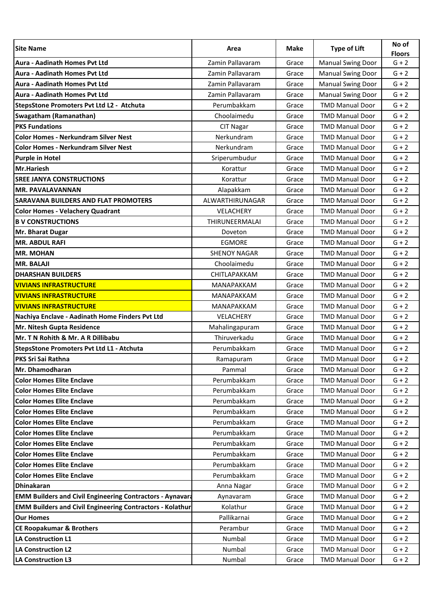| <b>Site Name</b>                                                 | Area                | Make  | <b>Type of Lift</b>      | No of<br><b>Floors</b> |
|------------------------------------------------------------------|---------------------|-------|--------------------------|------------------------|
| <b>Aura - Aadinath Homes Pvt Ltd</b>                             | Zamin Pallavaram    | Grace | <b>Manual Swing Door</b> | $G + 2$                |
| Aura - Aadinath Homes Pvt Ltd                                    | Zamin Pallavaram    | Grace | <b>Manual Swing Door</b> | $G + 2$                |
| <b>Aura - Aadinath Homes Pvt Ltd</b>                             | Zamin Pallavaram    | Grace | <b>Manual Swing Door</b> | $G + 2$                |
| <b>Aura - Aadinath Homes Pvt Ltd</b>                             | Zamin Pallavaram    | Grace | <b>Manual Swing Door</b> | $G + 2$                |
| StepsStone Promoters Pvt Ltd L2 - Atchuta                        | Perumbakkam         | Grace | <b>TMD Manual Door</b>   | $G + 2$                |
| Swagatham (Ramanathan)                                           | Choolaimedu         | Grace | <b>TMD Manual Door</b>   | $G + 2$                |
| <b>PKS Fundations</b>                                            | <b>CIT Nagar</b>    | Grace | <b>TMD Manual Door</b>   | $G + 2$                |
| <b>Color Homes - Nerkundram Silver Nest</b>                      | Nerkundram          | Grace | <b>TMD Manual Door</b>   | $G + 2$                |
| <b>Color Homes - Nerkundram Silver Nest</b>                      | Nerkundram          | Grace | <b>TMD Manual Door</b>   | $G + 2$                |
| <b>Purple in Hotel</b>                                           | Sriperumbudur       | Grace | <b>TMD Manual Door</b>   | $G + 2$                |
| <b>Mr.Hariesh</b>                                                | Korattur            | Grace | <b>TMD Manual Door</b>   | $G + 2$                |
| <b>SREE JANYA CONSTRUCTIONS</b>                                  | Korattur            | Grace | <b>TMD Manual Door</b>   | $G + 2$                |
| <b>MR. PAVALAVANNAN</b>                                          | Alapakkam           | Grace | <b>TMD Manual Door</b>   | $G + 2$                |
| <b>SARAVANA BUILDERS AND FLAT PROMOTERS</b>                      | ALWARTHIRUNAGAR     | Grace | <b>TMD Manual Door</b>   | $G + 2$                |
| <b>Color Homes - Velachery Quadrant</b>                          | <b>VELACHERY</b>    | Grace | <b>TMD Manual Door</b>   | $G + 2$                |
| <b>B V CONSTRUCTIONS</b>                                         | THIRUNEERMALAI      | Grace | <b>TMD Manual Door</b>   | $G + 2$                |
| Mr. Bharat Dugar                                                 | Doveton             | Grace | <b>TMD Manual Door</b>   | $G + 2$                |
| <b>MR. ABDUL RAFI</b>                                            | <b>EGMORE</b>       | Grace | <b>TMD Manual Door</b>   | $G + 2$                |
| <b>MR. MOHAN</b>                                                 | <b>SHENOY NAGAR</b> | Grace | <b>TMD Manual Door</b>   | $G + 2$                |
| <b>MR. BALAJI</b>                                                | Choolaimedu         | Grace | <b>TMD Manual Door</b>   | $G + 2$                |
| <b>DHARSHAN BUILDERS</b>                                         | CHITLAPAKKAM        | Grace | <b>TMD Manual Door</b>   | $G + 2$                |
| <b>VIVIANS INFRASTRUCTURE</b>                                    | <b>MANAPAKKAM</b>   | Grace | <b>TMD Manual Door</b>   | $G + 2$                |
| <b>VIVIANS INFRASTRUCTURE</b>                                    | <b>MANAPAKKAM</b>   | Grace | <b>TMD Manual Door</b>   | $G + 2$                |
| <b>VIVIANS INFRASTRUCTURE</b>                                    | <b>MANAPAKKAM</b>   | Grace | <b>TMD Manual Door</b>   | $G + 2$                |
| Nachiya Enclave - Aadinath Home Finders Pvt Ltd                  | <b>VELACHERY</b>    | Grace | <b>TMD Manual Door</b>   | $G + 2$                |
| Mr. Nitesh Gupta Residence                                       | Mahalingapuram      | Grace | <b>TMD Manual Door</b>   | $G + 2$                |
| Mr. T N Rohith & Mr. A R Dillibabu                               | Thiruverkadu        | Grace | <b>TMD Manual Door</b>   | $G + 2$                |
| StepsStone Promoters Pvt Ltd L1 - Atchuta                        | Perumbakkam         | Grace | <b>TMD Manual Door</b>   | $G + 2$                |
| <b>PKS Sri Sai Rathna</b>                                        | Ramapuram           | Grace | <b>TMD Manual Door</b>   | $G + 2$                |
| Mr. Dhamodharan                                                  | Pammal              | Grace | <b>TMD Manual Door</b>   | $G + 2$                |
| <b>Color Homes Elite Enclave</b>                                 | Perumbakkam         | Grace | <b>TMD Manual Door</b>   | $G + 2$                |
| <b>Color Homes Elite Enclave</b>                                 | Perumbakkam         | Grace | <b>TMD Manual Door</b>   | $G + 2$                |
| <b>Color Homes Elite Enclave</b>                                 | Perumbakkam         | Grace | <b>TMD Manual Door</b>   | $G + 2$                |
| <b>Color Homes Elite Enclave</b>                                 | Perumbakkam         | Grace | <b>TMD Manual Door</b>   | $G + 2$                |
| <b>Color Homes Elite Enclave</b>                                 | Perumbakkam         | Grace | <b>TMD Manual Door</b>   | $G + 2$                |
| <b>Color Homes Elite Enclave</b>                                 | Perumbakkam         | Grace | <b>TMD Manual Door</b>   | $G + 2$                |
| <b>Color Homes Elite Enclave</b>                                 | Perumbakkam         | Grace | <b>TMD Manual Door</b>   | $G + 2$                |
| <b>Color Homes Elite Enclave</b>                                 | Perumbakkam         | Grace | <b>TMD Manual Door</b>   | $G + 2$                |
| <b>Color Homes Elite Enclave</b>                                 | Perumbakkam         | Grace | <b>TMD Manual Door</b>   | $G + 2$                |
| <b>Color Homes Elite Enclave</b>                                 | Perumbakkam         | Grace | <b>TMD Manual Door</b>   | $G + 2$                |
| <b>Dhinakaran</b>                                                | Anna Nagar          | Grace | <b>TMD Manual Door</b>   | $G + 2$                |
| <b>EMM Builders and Civil Engineering Contractors - Aynavard</b> | Aynavaram           | Grace | <b>TMD Manual Door</b>   | $G + 2$                |
| <b>EMM Builders and Civil Engineering Contractors - Kolathur</b> | Kolathur            | Grace | <b>TMD Manual Door</b>   | $G + 2$                |
| <b>Our Homes</b>                                                 | Pallikarnai         | Grace | <b>TMD Manual Door</b>   | $G + 2$                |
| <b>CE Roopakumar &amp; Brothers</b>                              | Perambur            | Grace | <b>TMD Manual Door</b>   | $G + 2$                |
| <b>LA Construction L1</b>                                        | Numbal              | Grace | <b>TMD Manual Door</b>   | $G + 2$                |
| <b>LA Construction L2</b>                                        | Numbal              | Grace | <b>TMD Manual Door</b>   | $G + 2$                |
| LA Construction L3                                               | Numbal              | Grace | <b>TMD Manual Door</b>   | $G + 2$                |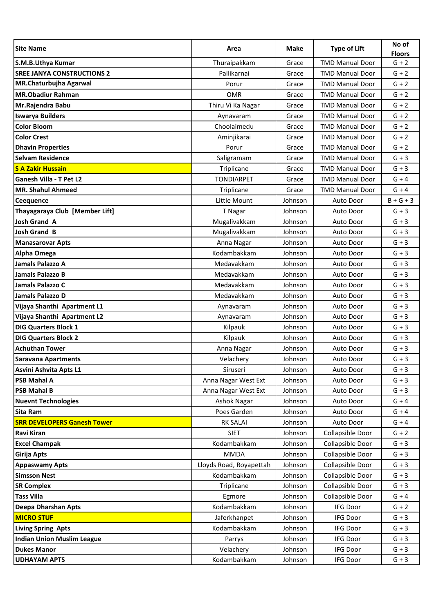| <b>Site Name</b>                   | Area                    | Make    | <b>Type of Lift</b>    | No of<br><b>Floors</b> |
|------------------------------------|-------------------------|---------|------------------------|------------------------|
| S.M.B.Uthya Kumar                  | Thuraipakkam            | Grace   | <b>TMD Manual Door</b> | $G + 2$                |
| <b>SREE JANYA CONSTRUCTIONS 2</b>  | Pallikarnai             | Grace   | <b>TMD Manual Door</b> | $G + 2$                |
| MR.Chaturbujha Agarwal             | Porur                   | Grace   | <b>TMD Manual Door</b> | $G + 2$                |
| <b>MR.Obadiur Rahman</b>           | <b>OMR</b>              | Grace   | <b>TMD Manual Door</b> | $G + 2$                |
| Mr.Rajendra Babu                   | Thiru Vi Ka Nagar       | Grace   | <b>TMD Manual Door</b> | $G + 2$                |
| <b>Iswarya Builders</b>            | Aynavaram               | Grace   | <b>TMD Manual Door</b> | $G + 2$                |
| <b>Color Bloom</b>                 | Choolaimedu             | Grace   | <b>TMD Manual Door</b> | $G + 2$                |
| <b>Color Crest</b>                 | Aminjikarai             | Grace   | <b>TMD Manual Door</b> | $G + 2$                |
| <b>Dhavin Properties</b>           | Porur                   | Grace   | <b>TMD Manual Door</b> | $G + 2$                |
| <b>Selvam Residence</b>            | Saligramam              | Grace   | <b>TMD Manual Door</b> | $G + 3$                |
| <b>S A Zakir Hussain</b>           | Triplicane              | Grace   | <b>TMD Manual Door</b> | $G + 3$                |
| <b>Ganesh Villa - T Pet L2</b>     | <b>TONDIARPET</b>       | Grace   | <b>TMD Manual Door</b> | $G + 4$                |
| <b>MR. Shahul Ahmeed</b>           | Triplicane              | Grace   | <b>TMD Manual Door</b> | $G + 4$                |
| <b>Ceequence</b>                   | Little Mount            | Johnson | Auto Door              | $B+G+3$                |
| Thayagaraya Club [Member Lift]     | T Nagar                 | Johnson | Auto Door              | $G + 3$                |
| <b>Josh Grand A</b>                | Mugalivakkam            | Johnson | Auto Door              | $G + 3$                |
| <b>Josh Grand B</b>                | Mugalivakkam            | Johnson | Auto Door              | $G + 3$                |
| <b>Manasarovar Apts</b>            | Anna Nagar              | Johnson | Auto Door              | $G + 3$                |
| <b>Alpha Omega</b>                 | Kodambakkam             | Johnson | Auto Door              | $G + 3$                |
| <b>Jamals Palazzo A</b>            | Medavakkam              | Johnson | Auto Door              | $G + 3$                |
| <b>Jamals Palazzo B</b>            | Medavakkam              | Johnson | Auto Door              | $G + 3$                |
| <b>Jamals Palazzo C</b>            | Medavakkam              | Johnson | Auto Door              | $G + 3$                |
| Jamals Palazzo D                   | Medavakkam              | Johnson | Auto Door              | $G + 3$                |
| Vijaya Shanthi Apartment L1        | Aynavaram               | Johnson | Auto Door              | $G + 3$                |
| Vijaya Shanthi Apartment L2        | Aynavaram               | Johnson | Auto Door              | $G + 3$                |
| <b>DIG Quarters Block 1</b>        | Kilpauk                 | Johnson | Auto Door              | $G + 3$                |
| <b>DIG Quarters Block 2</b>        | Kilpauk                 | Johnson | Auto Door              | $G + 3$                |
| <b>Achuthan Tower</b>              | Anna Nagar              | Johnson | Auto Door              | $G + 3$                |
| <b>Saravana Apartments</b>         | Velachery               | Johnson | Auto Door              | $G + 3$                |
| Asvini Ashvita Apts L1             | Siruseri                | Johnson | Auto Door              | $G + 3$                |
| <b>PSB Mahal A</b>                 | Anna Nagar West Ext     | Johnson | Auto Door              | $G + 3$                |
| <b>PSB Mahal B</b>                 | Anna Nagar West Ext     | Johnson | Auto Door              | $G + 3$                |
| <b>Nuevnt Technologies</b>         | Ashok Nagar             | Johnson | Auto Door              | $G + 4$                |
| Sita Ram                           | Poes Garden             | Johnson | Auto Door              | $G + 4$                |
| <b>SRR DEVELOPERS Ganesh Tower</b> | <b>RK SALAI</b>         | Johnson | Auto Door              | $G + 4$                |
| Ravi Kiran                         | <b>SIET</b>             | Johnson | Collapsible Door       | $G + 2$                |
| <b>Excel Champak</b>               | Kodambakkam             | Johnson | Collapsible Door       | $G + 3$                |
| Girija Apts                        | <b>MMDA</b>             | Johnson | Collapsible Door       | $G + 3$                |
| <b>Appaswamy Apts</b>              | Lloyds Road, Royapettah | Johnson | Collapsible Door       | $G + 3$                |
| <b>Simsson Nest</b>                | Kodambakkam             | Johnson | Collapsible Door       | $G + 3$                |
| <b>SR Complex</b>                  | Triplicane              | Johnson | Collapsible Door       | $G + 3$                |
| <b>Tass Villa</b>                  | Egmore                  | Johnson | Collapsible Door       | $G + 4$                |
| Deepa Dharshan Apts                | Kodambakkam             | Johnson | IFG Door               | $G + 2$                |
| <b>MICRO STUF</b>                  | Jaferkhanpet            | Johnson | <b>IFG Door</b>        | $G + 3$                |
| <b>Living Spring Apts</b>          | Kodambakkam             | Johnson | <b>IFG Door</b>        | $G + 3$                |
| <b>Indian Union Muslim League</b>  | Parrys                  | Johnson | <b>IFG Door</b>        | $G + 3$                |
| <b>Dukes Manor</b>                 | Velachery               | Johnson | IFG Door               | $G + 3$                |
| <b>UDHAYAM APTS</b>                | Kodambakkam             | Johnson | IFG Door               | $G + 3$                |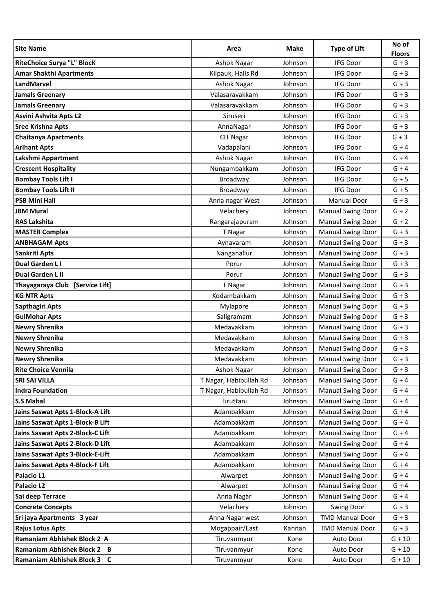| <b>Site Name</b>                  | Area                   | Make    | <b>Type of Lift</b>      | No of<br><b>Floors</b> |
|-----------------------------------|------------------------|---------|--------------------------|------------------------|
| <b>RiteChoice Surya "L" BlocK</b> | <b>Ashok Nagar</b>     | Johnson | <b>IFG Door</b>          | $G + 3$                |
| <b>Amar Shakthi Apartments</b>    | Kilpauk, Halls Rd      | Johnson | <b>IFG Door</b>          | $G + 3$                |
| <b>LandMarvel</b>                 | Ashok Nagar            | Johnson | <b>IFG Door</b>          | $G + 3$                |
| <b>Jamals Greenary</b>            | Valasaravakkam         | Johnson | <b>IFG Door</b>          | $G + 3$                |
| <b>Jamals Greenary</b>            | Valasaravakkam         | Johnson | <b>IFG Door</b>          | $G + 3$                |
| Asvini Ashvita Apts L2            | Siruseri               | Johnson | <b>IFG Door</b>          | $G + 3$                |
| <b>Sree Krishna Apts</b>          | AnnaNagar              | Johnson | <b>IFG Door</b>          | $G + 3$                |
| <b>Chaitanya Apartments</b>       | <b>CIT Nagar</b>       | Johnson | <b>IFG Door</b>          | $G + 3$                |
| <b>Arihant Apts</b>               | Vadapalani             | Johnson | <b>IFG Door</b>          | $G + 4$                |
| Lakshmi Appartment                | Ashok Nagar            | Johnson | <b>IFG Door</b>          | $G + 4$                |
| <b>Crescent Hospitality</b>       | Nungambakkam           | Johnson | <b>IFG Door</b>          | $G + 4$                |
| <b>Bombay Tools Lift I</b>        | Broadway               | Johnson | <b>IFG Door</b>          | $G + 5$                |
| <b>Bombay Tools Lift II</b>       | Broadway               | Johnson | <b>IFG Door</b>          | $G + 5$                |
| <b>PSB Mini Hall</b>              | Anna nagar West        | Johnson | <b>Manual Door</b>       | $G + 3$                |
| <b>JBM Mural</b>                  | Velachery              | Johnson | <b>Manual Swing Door</b> | $G + 2$                |
| <b>RAS Lakshita</b>               | Rangarajapuram         | Johnson | <b>Manual Swing Door</b> | $G + 2$                |
| <b>MASTER Complex</b>             | T Nagar                | Johnson | <b>Manual Swing Door</b> | $G + 3$                |
| <b>ANBHAGAM Apts</b>              | Aynavaram              | Johnson | <b>Manual Swing Door</b> | $G + 3$                |
| Sankriti Apts                     | Nanganallur            | Johnson | <b>Manual Swing Door</b> | $G + 3$                |
| Dual Garden L I                   | Porur                  | Johnson | <b>Manual Swing Door</b> | $G + 3$                |
| <b>Dual Garden L II</b>           | Porur                  | Johnson | <b>Manual Swing Door</b> | $G + 3$                |
| Thayagaraya Club [Service Lift]   | T Nagar                | Johnson | <b>Manual Swing Door</b> | $G + 3$                |
| <b>KG NTR Apts</b>                | Kodambakkam            | Johnson | <b>Manual Swing Door</b> | $G + 3$                |
| Sapthagiri Apts                   | Mylapore               | Johnson | <b>Manual Swing Door</b> | $G + 3$                |
| <b>GulMohar Apts</b>              | Saligramam             | Johnson | <b>Manual Swing Door</b> | $G + 3$                |
| <b>Newry Shrenika</b>             | Medavakkam             | Johnson | <b>Manual Swing Door</b> | $G + 3$                |
| <b>Newry Shrenika</b>             | Medavakkam             | Johnson | <b>Manual Swing Door</b> | $G + 3$                |
| <b>Newry Shrenika</b>             | Medavakkam             | Johnson | <b>Manual Swing Door</b> | $G + 3$                |
| <b>Newry Shrenika</b>             | Medavakkam             | Johnson | <b>Manual Swing Door</b> | $G + 3$                |
| <b>Rite Choice Vennila</b>        | <b>Ashok Nagar</b>     | Johnson | <b>Manual Swing Door</b> | $G + 3$                |
| <b>SRI SAI VILLA</b>              | T Nagar, Habibullah Rd | Johnson | <b>Manual Swing Door</b> | $G + 4$                |
| <b>Indra Foundation</b>           | T Nagar, Habibullah Rd | Johnson | <b>Manual Swing Door</b> | $G + 4$                |
| <b>S.S Mahal</b>                  | Tiruttani              | Johnson | <b>Manual Swing Door</b> | $G + 4$                |
| Jains Saswat Apts 1-Block-A Lift  | Adambakkam             | Johnson | <b>Manual Swing Door</b> | $G + 4$                |
| Jains Saswat Apts 1-Block-B Lift  | Adambakkam             | Johnson | <b>Manual Swing Door</b> | $G + 4$                |
| Jains Saswat Apts 2-Block-C Lift  | Adambakkam             | Johnson | <b>Manual Swing Door</b> | $G + 4$                |
| Jains Saswat Apts 2-Block-D Lift  | Adambakkam             | Johnson | <b>Manual Swing Door</b> | $G + 4$                |
| Jains Saswat Apts 3-Block-E-Lift  | Adambakkam             | Johnson | <b>Manual Swing Door</b> | $G + 4$                |
| Jains Saswat Apts 4-Block-F Lift  | Adambakkam             | Johnson | <b>Manual Swing Door</b> | $G + 4$                |
| Palacio L1                        | Alwarpet               | Johnson | <b>Manual Swing Door</b> | $G + 4$                |
| Palacio L2                        | Alwarpet               | Johnson | <b>Manual Swing Door</b> | $G + 4$                |
| Sai deep Terrace                  | Anna Nagar             | Johnson | <b>Manual Swing Door</b> | $G + 4$                |
| <b>Concrete Concepts</b>          | Velachery              | Johnson | <b>Swing Door</b>        | $G + 3$                |
| Sri jaya Apartments 3 year        | Anna Nagar west        | Johnson | <b>TMD Manual Door</b>   | $G + 3$                |
| <b>Rajus Lotus Apts</b>           | Mogappair/East         | Kannan  | <b>TMD Manual Door</b>   | $G + 3$                |
| Ramaniam Abhishek Block 2 A       | Tiruvanmyur            | Kone    | Auto Door                | $G + 10$               |
| Ramaniam Abhishek Block 2 B       | Tiruvanmyur            | Kone    | Auto Door                | $G + 10$               |
| Ramaniam Abhishek Block 3 C       | Tiruvanmyur            | Kone    | Auto Door                | $G + 10$               |